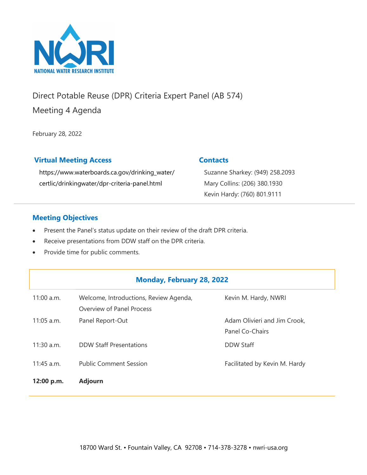

# Direct Potable Reuse (DPR) Criteria Expert Panel (AB 574)

## Meeting 4 Agenda

February 28, 2022

#### **Virtual Meeting Access**

[https://www.waterboards.ca.gov/drinking\\_water/](https://www.waterboards.ca.gov/drinking_water/certlic/drinkingwater/dpr-criteria-panel.html) certlic/drinkingwater/dpr-criteria-panel.html

#### **Contacts**

Suzanne Sharkey: (949) 258.2093 Mary Collins: (206) 380.1930 Kevin Hardy: (760) 801.9111

## **Meeting Objectives**

- Present the Panel's status update on their review of the draft DPR criteria.
- Receive presentations from DDW staff on the DPR criteria.
- Provide time for public comments.

## **Monday, February 28, 2022**

| $11:00$ a.m. | Welcome, Introductions, Review Agenda,<br>Overview of Panel Process | Kevin M. Hardy, NWRI                            |
|--------------|---------------------------------------------------------------------|-------------------------------------------------|
| $11:05$ a.m. | Panel Report-Out                                                    | Adam Olivieri and Jim Crook,<br>Panel Co-Chairs |
| 11:30 a.m.   | <b>DDW Staff Presentations</b>                                      | <b>DDW Staff</b>                                |
| $11:45$ a.m. | <b>Public Comment Session</b>                                       | Facilitated by Kevin M. Hardy                   |
| 12:00 p.m.   | <b>Adjourn</b>                                                      |                                                 |